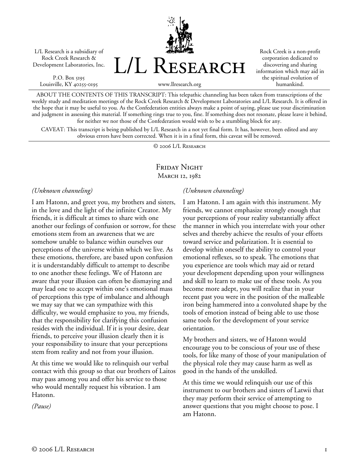L/L Research is a subsidiary of Rock Creek Research & Development Laboratories, Inc.

P.O. Box 5195 Louisville, KY 40255-0195 L/L Research

Rock Creek is a non-profit corporation dedicated to discovering and sharing information which may aid in the spiritual evolution of humankind.

www.llresearch.org

ABOUT THE CONTENTS OF THIS TRANSCRIPT: This telepathic channeling has been taken from transcriptions of the weekly study and meditation meetings of the Rock Creek Research & Development Laboratories and L/L Research. It is offered in the hope that it may be useful to you. As the Confederation entities always make a point of saying, please use your discrimination and judgment in assessing this material. If something rings true to you, fine. If something does not resonate, please leave it behind, for neither we nor those of the Confederation would wish to be a stumbling block for any.

CAVEAT: This transcript is being published by L/L Research in a not yet final form. It has, however, been edited and any obvious errors have been corrected. When it is in a final form, this caveat will be removed.

© 2006 L/L Research

# FRIDAY NIGHT MARCH 12, 1982

#### *(Unknown channeling)*

I am Hatonn, and greet you, my brothers and sisters, in the love and the light of the infinite Creator. My friends, it is difficult at times to share with one another our feelings of confusion or sorrow, for these emotions stem from an awareness that we are somehow unable to balance within ourselves our perceptions of the universe within which we live. As these emotions, therefore, are based upon confusion it is understandably difficult to attempt to describe to one another these feelings. We of Hatonn are aware that your illusion can often be dismaying and may lead one to accept within one's emotional mass of perceptions this type of imbalance and although we may say that we can sympathize with this difficulty, we would emphasize to you, my friends, that the responsibility for clarifying this confusion resides with the individual. If it is your desire, dear friends, to perceive your illusion clearly then it is your responsibility to insure that your perceptions stem from reality and not from your illusion.

At this time we would like to relinquish our verbal contact with this group so that our brothers of Laitos may pass among you and offer his service to those who would mentally request his vibration. I am Hatonn.

*(Pause)* 

### *(Unknown channeling)*

I am Hatonn. I am again with this instrument. My friends, we cannot emphasize strongly enough that your perceptions of your reality substantially affect the manner in which you interrelate with your other selves and thereby achieve the results of your efforts toward service and polarization. It is essential to develop within oneself the ability to control your emotional reflexes, so to speak. The emotions that you experience are tools which may aid or retard your development depending upon your willingness and skill to learn to make use of these tools. As you become more adept, you will realize that in your recent past you were in the position of the malleable iron being hammered into a convoluted shape by the tools of emotion instead of being able to use those same tools for the development of your service orientation.

My brothers and sisters, we of Hatonn would encourage you to be conscious of your use of these tools, for like many of those of your manipulation of the physical role they may cause harm as well as good in the hands of the unskilled.

At this time we would relinquish our use of this instrument to our brothers and sisters of Latwii that they may perform their service of attempting to answer questions that you might choose to pose. I am Hatonn.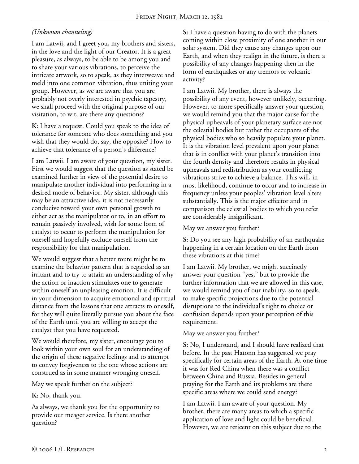# *(Unknown channeling)*

I am Latwii, and I greet you, my brothers and sisters, in the love and the light of our Creator. It is a great pleasure, as always, to be able to be among you and to share your various vibrations, to perceive the intricate artwork, so to speak, as they interweave and meld into one common vibration, thus uniting your group. However, as we are aware that you are probably not overly interested in psychic tapestry, we shall proceed with the original purpose of our visitation, to wit, are there any questions?

**K:** I have a request. Could you speak to the idea of tolerance for someone who does something and you wish that they would do, say, the opposite? How to achieve that tolerance of a person's difference?

I am Latwii. I am aware of your question, my sister. First we would suggest that the question as stated be examined further in view of the potential desire to manipulate another individual into performing in a desired mode of behavior. My sister, although this may be an attractive idea, it is not necessarily conducive toward your own personal growth to either act as the manipulator or to, in an effort to remain passively involved, wish for some form of catalyst to occur to perform the manipulation for oneself and hopefully exclude oneself from the responsibility for that manipulation.

We would suggest that a better route might be to examine the behavior pattern that is regarded as an irritant and to try to attain an understanding of why the action or inaction stimulates one to generate within oneself an unpleasing emotion. It is difficult in your dimension to acquire emotional and spiritual distance from the lessons that one attracts to oneself, for they will quite literally pursue you about the face of the Earth until you are willing to accept the catalyst that you have requested.

We would therefore, my sister, encourage you to look within your own soul for an understanding of the origin of these negative feelings and to attempt to convey forgiveness to the one whose actions are construed as in some manner wronging oneself.

May we speak further on the subject?

**K:** No, thank you.

As always, we thank you for the opportunity to provide our meager service. Is there another question?

**S:** I have a question having to do with the planets coming within close proximity of one another in our solar system. Did they cause any changes upon our Earth, and when they realign in the future, is there a possibility of any changes happening then in the form of earthquakes or any tremors or volcanic activity?

I am Latwii. My brother, there is always the possibility of any event, however unlikely, occurring. However, to more specifically answer your question, we would remind you that the major cause for the physical upheavals of your planetary surface are not the celestial bodies but rather the occupants of the physical bodies who so heavily populate your planet. It is the vibration level prevalent upon your planet that is in conflict with your planet's transition into the fourth density and therefore results in physical upheavals and redistribution as your conflicting vibrations strive to achieve a balance. This will, in most likelihood, continue to occur and to increase in frequency unless your peoples' vibration level alters substantially. This is the major effector and in comparison the celestial bodies to which you refer are considerably insignificant.

May we answer you further?

**S:** Do you see any high probability of an earthquake happening in a certain location on the Earth from these vibrations at this time?

I am Latwii. My brother, we might succinctly answer your question "yes," but to provide the further information that we are allowed in this case, we would remind you of our inability, so to speak, to make specific projections due to the potential disruptions to the individual's right to choice or confusion depends upon your perception of this requirement.

May we answer you further?

**S:** No, I understand, and I should have realized that before. In the past Hatonn has suggested we pray specifically for certain areas of the Earth. At one time it was for Red China when there was a conflict between China and Russia. Besides in general praying for the Earth and its problems are there specific areas where we could send energy?

I am Latwii. I am aware of your question. My brother, there are many areas to which a specific application of love and light could be beneficial. However, we are reticent on this subject due to the